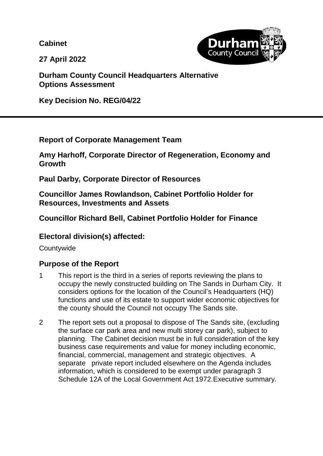**Cabinet**

**County Counc** 

**27 April 2022**

**Durham County Council Headquarters Alternative Options Assessment**

**Key Decision No. REG/04/22**

**Report of Corporate Management Team**

**Amy Harhoff, Corporate Director of Regeneration, Economy and Growth**

**Paul Darby, Corporate Director of Resources**

**Councillor James Rowlandson, Cabinet Portfolio Holder for Resources, Investments and Assets**

**Councillor Richard Bell, Cabinet Portfolio Holder for Finance**

# **Electoral division(s) affected:**

**Countywide** 

# **Purpose of the Report**

- 1 This report is the third in a series of reports reviewing the plans to occupy the newly constructed building on The Sands in Durham City. It considers options for the location of the Council's Headquarters (HQ) functions and use of its estate to support wider economic objectives for the county should the Council not occupy The Sands site.
- 2 The report sets out a proposal to dispose of The Sands site, (excluding the surface car park area and new multi storey car park), subject to planning. The Cabinet decision must be in full consideration of the key business case requirements and value for money including economic, financial, commercial, management and strategic objectives. A separate private report included elsewhere on the Agenda includes information, which is considered to be exempt under paragraph 3 Schedule 12A of the Local Government Act 1972.Executive summary.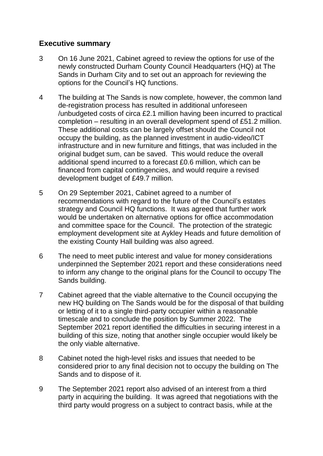#### **Executive summary**

- 3 On 16 June 2021, Cabinet agreed to review the options for use of the newly constructed Durham County Council Headquarters (HQ) at The Sands in Durham City and to set out an approach for reviewing the options for the Council's HQ functions.
- 4 The building at The Sands is now complete, however, the common land de-registration process has resulted in additional unforeseen /unbudgeted costs of circa £2.1 million having been incurred to practical completion – resulting in an overall development spend of £51.2 million. These additional costs can be largely offset should the Council not occupy the building, as the planned investment in audio-video/ICT infrastructure and in new furniture and fittings, that was included in the original budget sum, can be saved. This would reduce the overall additional spend incurred to a forecast £0.6 million, which can be financed from capital contingencies, and would require a revised development budget of £49.7 million.
- 5 On 29 September 2021, Cabinet agreed to a number of recommendations with regard to the future of the Council's estates strategy and Council HQ functions. It was agreed that further work would be undertaken on alternative options for office accommodation and committee space for the Council. The protection of the strategic employment development site at Aykley Heads and future demolition of the existing County Hall building was also agreed.
- 6 The need to meet public interest and value for money considerations underpinned the September 2021 report and these considerations need to inform any change to the original plans for the Council to occupy The Sands building.
- 7 Cabinet agreed that the viable alternative to the Council occupying the new HQ building on The Sands would be for the disposal of that building or letting of it to a single third-party occupier within a reasonable timescale and to conclude the position by Summer 2022. The September 2021 report identified the difficulties in securing interest in a building of this size, noting that another single occupier would likely be the only viable alternative.
- 8 Cabinet noted the high-level risks and issues that needed to be considered prior to any final decision not to occupy the building on The Sands and to dispose of it.
- 9 The September 2021 report also advised of an interest from a third party in acquiring the building. It was agreed that negotiations with the third party would progress on a subject to contract basis, while at the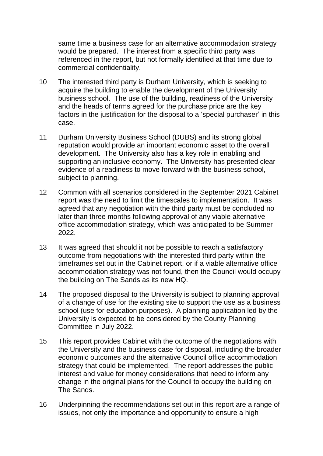same time a business case for an alternative accommodation strategy would be prepared. The interest from a specific third party was referenced in the report, but not formally identified at that time due to commercial confidentiality.

- 10 The interested third party is Durham University, which is seeking to acquire the building to enable the development of the University business school. The use of the building, readiness of the University and the heads of terms agreed for the purchase price are the key factors in the justification for the disposal to a 'special purchaser' in this case.
- 11 Durham University Business School (DUBS) and its strong global reputation would provide an important economic asset to the overall development. The University also has a key role in enabling and supporting an inclusive economy. The University has presented clear evidence of a readiness to move forward with the business school, subject to planning.
- 12 Common with all scenarios considered in the September 2021 Cabinet report was the need to limit the timescales to implementation. It was agreed that any negotiation with the third party must be concluded no later than three months following approval of any viable alternative office accommodation strategy, which was anticipated to be Summer 2022.
- 13 It was agreed that should it not be possible to reach a satisfactory outcome from negotiations with the interested third party within the timeframes set out in the Cabinet report, or if a viable alternative office accommodation strategy was not found, then the Council would occupy the building on The Sands as its new HQ.
- 14 The proposed disposal to the University is subject to planning approval of a change of use for the existing site to support the use as a business school (use for education purposes). A planning application led by the University is expected to be considered by the County Planning Committee in July 2022.
- 15 This report provides Cabinet with the outcome of the negotiations with the University and the business case for disposal, including the broader economic outcomes and the alternative Council office accommodation strategy that could be implemented. The report addresses the public interest and value for money considerations that need to inform any change in the original plans for the Council to occupy the building on The Sands.
- 16 Underpinning the recommendations set out in this report are a range of issues, not only the importance and opportunity to ensure a high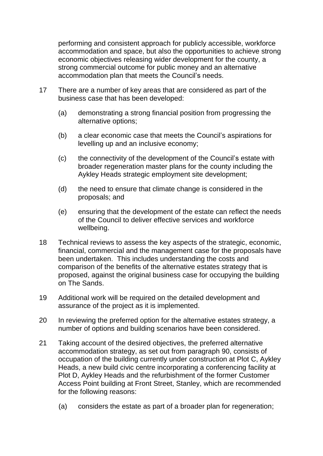performing and consistent approach for publicly accessible, workforce accommodation and space, but also the opportunities to achieve strong economic objectives releasing wider development for the county, a strong commercial outcome for public money and an alternative accommodation plan that meets the Council's needs.

- 17 There are a number of key areas that are considered as part of the business case that has been developed:
	- (a) demonstrating a strong financial position from progressing the alternative options;
	- (b) a clear economic case that meets the Council's aspirations for levelling up and an inclusive economy;
	- (c) the connectivity of the development of the Council's estate with broader regeneration master plans for the county including the Aykley Heads strategic employment site development;
	- (d) the need to ensure that climate change is considered in the proposals; and
	- (e) ensuring that the development of the estate can reflect the needs of the Council to deliver effective services and workforce wellbeing.
- 18 Technical reviews to assess the key aspects of the strategic, economic, financial, commercial and the management case for the proposals have been undertaken. This includes understanding the costs and comparison of the benefits of the alternative estates strategy that is proposed, against the original business case for occupying the building on The Sands.
- 19 Additional work will be required on the detailed development and assurance of the project as it is implemented.
- 20 In reviewing the preferred option for the alternative estates strategy, a number of options and building scenarios have been considered.
- 21 Taking account of the desired objectives, the preferred alternative accommodation strategy, as set out from paragraph 90, consists of occupation of the building currently under construction at Plot C, Aykley Heads, a new build civic centre incorporating a conferencing facility at Plot D, Aykley Heads and the refurbishment of the former Customer Access Point building at Front Street, Stanley, which are recommended for the following reasons:
	- (a) considers the estate as part of a broader plan for regeneration;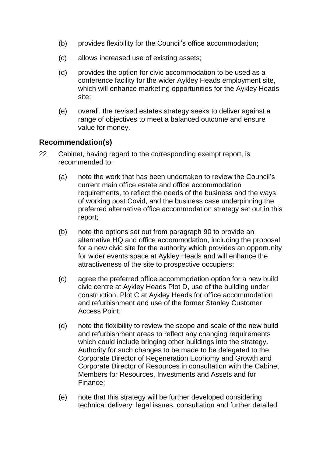- (b) provides flexibility for the Council's office accommodation;
- (c) allows increased use of existing assets;
- (d) provides the option for civic accommodation to be used as a conference facility for the wider Aykley Heads employment site, which will enhance marketing opportunities for the Aykley Heads site;
- (e) overall, the revised estates strategy seeks to deliver against a range of objectives to meet a balanced outcome and ensure value for money.

# **Recommendation(s)**

- 22 Cabinet, having regard to the corresponding exempt report, is recommended to:
	- (a) note the work that has been undertaken to review the Council's current main office estate and office accommodation requirements, to reflect the needs of the business and the ways of working post Covid, and the business case underpinning the preferred alternative office accommodation strategy set out in this report;
	- (b) note the options set out from paragraph 90 to provide an alternative HQ and office accommodation, including the proposal for a new civic site for the authority which provides an opportunity for wider events space at Aykley Heads and will enhance the attractiveness of the site to prospective occupiers;
	- (c) agree the preferred office accommodation option for a new build civic centre at Aykley Heads Plot D, use of the building under construction, Plot C at Aykley Heads for office accommodation and refurbishment and use of the former Stanley Customer Access Point;
	- (d) note the flexibility to review the scope and scale of the new build and refurbishment areas to reflect any changing requirements which could include bringing other buildings into the strategy. Authority for such changes to be made to be delegated to the Corporate Director of Regeneration Economy and Growth and Corporate Director of Resources in consultation with the Cabinet Members for Resources, Investments and Assets and for Finance;
	- (e) note that this strategy will be further developed considering technical delivery, legal issues, consultation and further detailed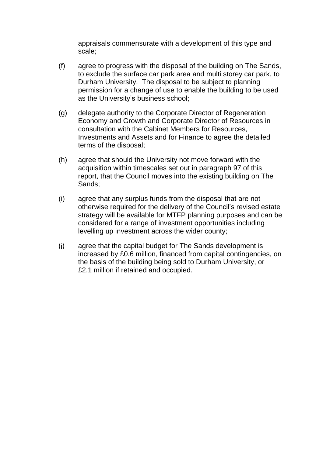appraisals commensurate with a development of this type and scale;

- (f) agree to progress with the disposal of the building on The Sands, to exclude the surface car park area and multi storey car park, to Durham University. The disposal to be subject to planning permission for a change of use to enable the building to be used as the University's business school;
- (g) delegate authority to the Corporate Director of Regeneration Economy and Growth and Corporate Director of Resources in consultation with the Cabinet Members for Resources, Investments and Assets and for Finance to agree the detailed terms of the disposal;
- (h) agree that should the University not move forward with the acquisition within timescales set out in paragraph 97 of this report, that the Council moves into the existing building on The Sands;
- (i) agree that any surplus funds from the disposal that are not otherwise required for the delivery of the Council's revised estate strategy will be available for MTFP planning purposes and can be considered for a range of investment opportunities including levelling up investment across the wider county;
- (j) agree that the capital budget for The Sands development is increased by £0.6 million, financed from capital contingencies, on the basis of the building being sold to Durham University, or £2.1 million if retained and occupied.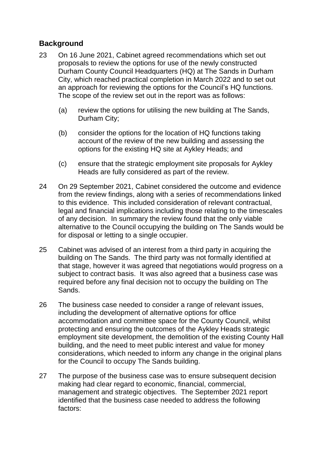# **Background**

- 23 On 16 June 2021, Cabinet agreed recommendations which set out proposals to review the options for use of the newly constructed Durham County Council Headquarters (HQ) at The Sands in Durham City, which reached practical completion in March 2022 and to set out an approach for reviewing the options for the Council's HQ functions. The scope of the review set out in the report was as follows:
	- (a) review the options for utilising the new building at The Sands, Durham City;
	- (b) consider the options for the location of HQ functions taking account of the review of the new building and assessing the options for the existing HQ site at Aykley Heads; and
	- (c) ensure that the strategic employment site proposals for Aykley Heads are fully considered as part of the review.
- 24 On 29 September 2021, Cabinet considered the outcome and evidence from the review findings, along with a series of recommendations linked to this evidence. This included consideration of relevant contractual, legal and financial implications including those relating to the timescales of any decision. In summary the review found that the only viable alternative to the Council occupying the building on The Sands would be for disposal or letting to a single occupier.
- 25 Cabinet was advised of an interest from a third party in acquiring the building on The Sands. The third party was not formally identified at that stage, however it was agreed that negotiations would progress on a subject to contract basis. It was also agreed that a business case was required before any final decision not to occupy the building on The Sands.
- 26 The business case needed to consider a range of relevant issues, including the development of alternative options for office accommodation and committee space for the County Council, whilst protecting and ensuring the outcomes of the Aykley Heads strategic employment site development, the demolition of the existing County Hall building, and the need to meet public interest and value for money considerations, which needed to inform any change in the original plans for the Council to occupy The Sands building.
- 27 The purpose of the business case was to ensure subsequent decision making had clear regard to economic, financial, commercial, management and strategic objectives. The September 2021 report identified that the business case needed to address the following factors: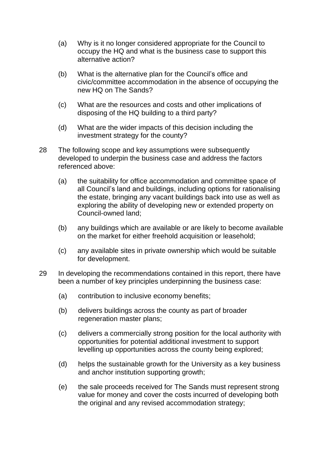- (a) Why is it no longer considered appropriate for the Council to occupy the HQ and what is the business case to support this alternative action?
- (b) What is the alternative plan for the Council's office and civic/committee accommodation in the absence of occupying the new HQ on The Sands?
- (c) What are the resources and costs and other implications of disposing of the HQ building to a third party?
- (d) What are the wider impacts of this decision including the investment strategy for the county?
- 28 The following scope and key assumptions were subsequently developed to underpin the business case and address the factors referenced above:
	- (a) the suitability for office accommodation and committee space of all Council's land and buildings, including options for rationalising the estate, bringing any vacant buildings back into use as well as exploring the ability of developing new or extended property on Council-owned land;
	- (b) any buildings which are available or are likely to become available on the market for either freehold acquisition or leasehold;
	- (c) any available sites in private ownership which would be suitable for development.
- 29 In developing the recommendations contained in this report, there have been a number of key principles underpinning the business case:
	- (a) contribution to inclusive economy benefits;
	- (b) delivers buildings across the county as part of broader regeneration master plans;
	- (c) delivers a commercially strong position for the local authority with opportunities for potential additional investment to support levelling up opportunities across the county being explored;
	- (d) helps the sustainable growth for the University as a key business and anchor institution supporting growth;
	- (e) the sale proceeds received for The Sands must represent strong value for money and cover the costs incurred of developing both the original and any revised accommodation strategy;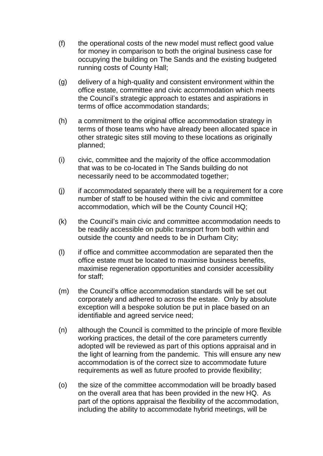- (f) the operational costs of the new model must reflect good value for money in comparison to both the original business case for occupying the building on The Sands and the existing budgeted running costs of County Hall;
- (g) delivery of a high-quality and consistent environment within the office estate, committee and civic accommodation which meets the Council's strategic approach to estates and aspirations in terms of office accommodation standards;
- (h) a commitment to the original office accommodation strategy in terms of those teams who have already been allocated space in other strategic sites still moving to these locations as originally planned;
- (i) civic, committee and the majority of the office accommodation that was to be co-located in The Sands building do not necessarily need to be accommodated together;
- (j) if accommodated separately there will be a requirement for a core number of staff to be housed within the civic and committee accommodation, which will be the County Council HQ;
- (k) the Council's main civic and committee accommodation needs to be readily accessible on public transport from both within and outside the county and needs to be in Durham City;
- (l) if office and committee accommodation are separated then the office estate must be located to maximise business benefits, maximise regeneration opportunities and consider accessibility for staff;
- (m) the Council's office accommodation standards will be set out corporately and adhered to across the estate. Only by absolute exception will a bespoke solution be put in place based on an identifiable and agreed service need;
- (n) although the Council is committed to the principle of more flexible working practices, the detail of the core parameters currently adopted will be reviewed as part of this options appraisal and in the light of learning from the pandemic. This will ensure any new accommodation is of the correct size to accommodate future requirements as well as future proofed to provide flexibility;
- (o) the size of the committee accommodation will be broadly based on the overall area that has been provided in the new HQ. As part of the options appraisal the flexibility of the accommodation, including the ability to accommodate hybrid meetings, will be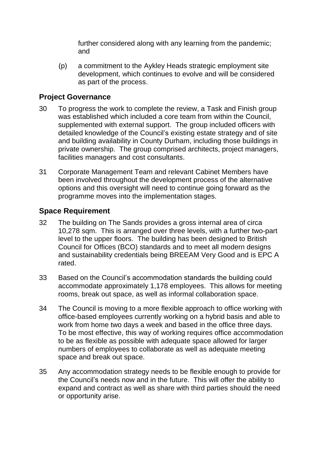further considered along with any learning from the pandemic; and

(p) a commitment to the Aykley Heads strategic employment site development, which continues to evolve and will be considered as part of the process.

#### **Project Governance**

- 30 To progress the work to complete the review, a Task and Finish group was established which included a core team from within the Council, supplemented with external support. The group included officers with detailed knowledge of the Council's existing estate strategy and of site and building availability in County Durham, including those buildings in private ownership. The group comprised architects, project managers, facilities managers and cost consultants.
- 31 Corporate Management Team and relevant Cabinet Members have been involved throughout the development process of the alternative options and this oversight will need to continue going forward as the programme moves into the implementation stages.

# **Space Requirement**

- 32 The building on The Sands provides a gross internal area of circa 10,278 sqm. This is arranged over three levels, with a further two-part level to the upper floors. The building has been designed to British Council for Offices (BCO) standards and to meet all modern designs and sustainability credentials being BREEAM Very Good and is EPC A rated.
- 33 Based on the Council's accommodation standards the building could accommodate approximately 1,178 employees. This allows for meeting rooms, break out space, as well as informal collaboration space.
- 34 The Council is moving to a more flexible approach to office working with office-based employees currently working on a hybrid basis and able to work from home two days a week and based in the office three days. To be most effective, this way of working requires office accommodation to be as flexible as possible with adequate space allowed for larger numbers of employees to collaborate as well as adequate meeting space and break out space.
- 35 Any accommodation strategy needs to be flexible enough to provide for the Council's needs now and in the future. This will offer the ability to expand and contract as well as share with third parties should the need or opportunity arise.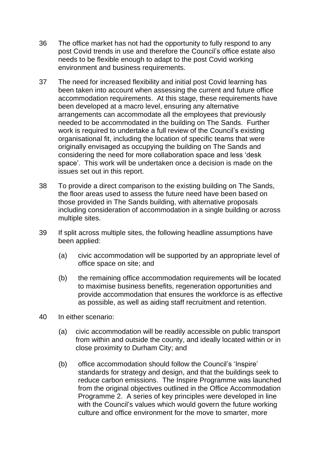- 36 The office market has not had the opportunity to fully respond to any post Covid trends in use and therefore the Council's office estate also needs to be flexible enough to adapt to the post Covid working environment and business requirements.
- 37 The need for increased flexibility and initial post Covid learning has been taken into account when assessing the current and future office accommodation requirements. At this stage, these requirements have been developed at a macro level, ensuring any alternative arrangements can accommodate all the employees that previously needed to be accommodated in the building on The Sands. Further work is required to undertake a full review of the Council's existing organisational fit, including the location of specific teams that were originally envisaged as occupying the building on The Sands and considering the need for more collaboration space and less 'desk space'. This work will be undertaken once a decision is made on the issues set out in this report.
- 38 To provide a direct comparison to the existing building on The Sands, the floor areas used to assess the future need have been based on those provided in The Sands building, with alternative proposals including consideration of accommodation in a single building or across multiple sites.
- 39 If split across multiple sites, the following headline assumptions have been applied:
	- (a) civic accommodation will be supported by an appropriate level of office space on site; and
	- (b) the remaining office accommodation requirements will be located to maximise business benefits, regeneration opportunities and provide accommodation that ensures the workforce is as effective as possible, as well as aiding staff recruitment and retention.
- 40 In either scenario:
	- (a) civic accommodation will be readily accessible on public transport from within and outside the county, and ideally located within or in close proximity to Durham City; and
	- (b) office accommodation should follow the Council's 'Inspire' standards for strategy and design, and that the buildings seek to reduce carbon emissions. The Inspire Programme was launched from the original objectives outlined in the Office Accommodation Programme 2. A series of key principles were developed in line with the Council's values which would govern the future working culture and office environment for the move to smarter, more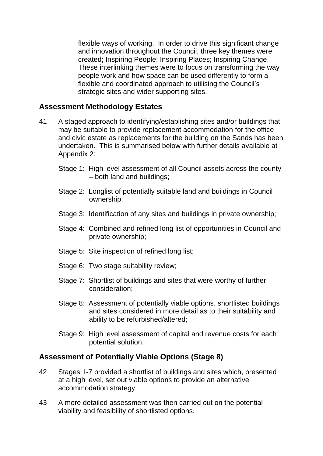flexible ways of working. In order to drive this significant change and innovation throughout the Council, three key themes were created; Inspiring People; Inspiring Places; Inspiring Change. These interlinking themes were to focus on transforming the way people work and how space can be used differently to form a flexible and coordinated approach to utilising the Council's strategic sites and wider supporting sites.

#### **Assessment Methodology Estates**

- 41 A staged approach to identifying/establishing sites and/or buildings that may be suitable to provide replacement accommodation for the office and civic estate as replacements for the building on the Sands has been undertaken. This is summarised below with further details available at Appendix 2:
	- Stage 1: High level assessment of all Council assets across the county – both land and buildings;
	- Stage 2: Longlist of potentially suitable land and buildings in Council ownership;
	- Stage 3: Identification of any sites and buildings in private ownership;
	- Stage 4: Combined and refined long list of opportunities in Council and private ownership;
	- Stage 5: Site inspection of refined long list;
	- Stage 6: Two stage suitability review;
	- Stage 7: Shortlist of buildings and sites that were worthy of further consideration;
	- Stage 8: Assessment of potentially viable options, shortlisted buildings and sites considered in more detail as to their suitability and ability to be refurbished/altered;
	- Stage 9: High level assessment of capital and revenue costs for each potential solution.

# **Assessment of Potentially Viable Options (Stage 8)**

- 42 Stages 1-7 provided a shortlist of buildings and sites which, presented at a high level, set out viable options to provide an alternative accommodation strategy.
- 43 A more detailed assessment was then carried out on the potential viability and feasibility of shortlisted options.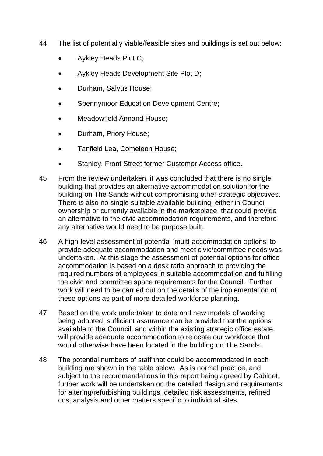- 44 The list of potentially viable/feasible sites and buildings is set out below:
	- Aykley Heads Plot C;
	- Aykley Heads Development Site Plot D;
	- Durham, Salvus House;
	- Spennymoor Education Development Centre;
	- Meadowfield Annand House;
	- Durham, Priory House;
	- Tanfield Lea, Comeleon House;
	- Stanley, Front Street former Customer Access office.
- 45 From the review undertaken, it was concluded that there is no single building that provides an alternative accommodation solution for the building on The Sands without compromising other strategic objectives. There is also no single suitable available building, either in Council ownership or currently available in the marketplace, that could provide an alternative to the civic accommodation requirements, and therefore any alternative would need to be purpose built.
- 46 A high-level assessment of potential 'multi-accommodation options' to provide adequate accommodation and meet civic/committee needs was undertaken. At this stage the assessment of potential options for office accommodation is based on a desk ratio approach to providing the required numbers of employees in suitable accommodation and fulfilling the civic and committee space requirements for the Council. Further work will need to be carried out on the details of the implementation of these options as part of more detailed workforce planning.
- 47 Based on the work undertaken to date and new models of working being adopted, sufficient assurance can be provided that the options available to the Council, and within the existing strategic office estate, will provide adequate accommodation to relocate our workforce that would otherwise have been located in the building on The Sands.
- 48 The potential numbers of staff that could be accommodated in each building are shown in the table below. As is normal practice, and subject to the recommendations in this report being agreed by Cabinet, further work will be undertaken on the detailed design and requirements for altering/refurbishing buildings, detailed risk assessments, refined cost analysis and other matters specific to individual sites.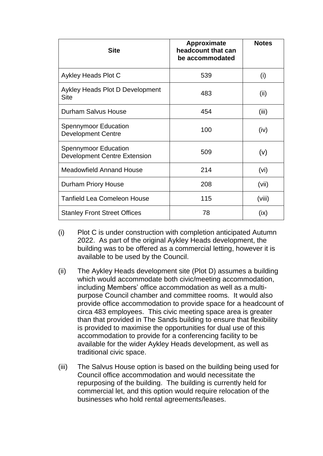| <b>Site</b>                                                        | <b>Approximate</b><br>headcount that can<br>be accommodated | <b>Notes</b> |
|--------------------------------------------------------------------|-------------------------------------------------------------|--------------|
| Aykley Heads Plot C                                                | 539                                                         | (i)          |
| Aykley Heads Plot D Development<br><b>Site</b>                     | 483                                                         | (ii)         |
| <b>Durham Salvus House</b>                                         | 454                                                         | (iii)        |
| <b>Spennymoor Education</b><br><b>Development Centre</b>           | 100                                                         | (iv)         |
| <b>Spennymoor Education</b><br><b>Development Centre Extension</b> | 509                                                         | (v)          |
| <b>Meadowfield Annand House</b>                                    | 214                                                         | (vi)         |
| <b>Durham Priory House</b>                                         | 208                                                         | (vii)        |
| <b>Tanfield Lea Comeleon House</b>                                 | 115                                                         | (viii)       |
| <b>Stanley Front Street Offices</b>                                | 78                                                          | (ix)         |

- (i) Plot C is under construction with completion anticipated Autumn 2022. As part of the original Aykley Heads development, the building was to be offered as a commercial letting, however it is available to be used by the Council.
- (ii) The Aykley Heads development site (Plot D) assumes a building which would accommodate both civic/meeting accommodation, including Members' office accommodation as well as a multipurpose Council chamber and committee rooms. It would also provide office accommodation to provide space for a headcount of circa 483 employees. This civic meeting space area is greater than that provided in The Sands building to ensure that flexibility is provided to maximise the opportunities for dual use of this accommodation to provide for a conferencing facility to be available for the wider Aykley Heads development, as well as traditional civic space.
- (iii) The Salvus House option is based on the building being used for Council office accommodation and would necessitate the repurposing of the building. The building is currently held for commercial let, and this option would require relocation of the businesses who hold rental agreements/leases.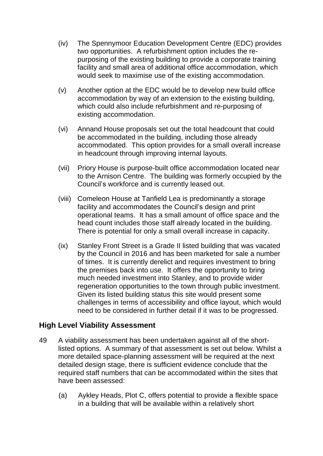- (iv) The Spennymoor Education Development Centre (EDC) provides two opportunities. A refurbishment option includes the repurposing of the existing building to provide a corporate training facility and small area of additional office accommodation, which would seek to maximise use of the existing accommodation.
- (v) Another option at the EDC would be to develop new build office accommodation by way of an extension to the existing building, which could also include refurbishment and re-purposing of existing accommodation.
- (vi) Annand House proposals set out the total headcount that could be accommodated in the building, including those already accommodated. This option provides for a small overall increase in headcount through improving internal layouts.
- (vii) Priory House is purpose-built office accommodation located near to the Arnison Centre. The building was formerly occupied by the Council's workforce and is currently leased out.
- (viii) Comeleon House at Tanfield Lea is predominantly a storage facility and accommodates the Council's design and print operational teams. It has a small amount of office space and the head count includes those staff already located in the building. There is potential for only a small overall increase in capacity.
- (ix) Stanley Front Street is a Grade II listed building that was vacated by the Council in 2016 and has been marketed for sale a number of times. It is currently derelict and requires investment to bring the premises back into use. It offers the opportunity to bring much needed investment into Stanley, and to provide wider regeneration opportunities to the town through public investment. Given its listed building status this site would present some challenges in terms of accessibility and office layout, which would need to be considered in further detail if it was to be progressed.

# **High Level Viability Assessment**

- 49 A viability assessment has been undertaken against all of the shortlisted options. A summary of that assessment is set out below. Whilst a more detailed space-planning assessment will be required at the next detailed design stage, there is sufficient evidence conclude that the required staff numbers that can be accommodated within the sites that have been assessed:
	- (a) Aykley Heads, Plot C, offers potential to provide a flexible space in a building that will be available within a relatively short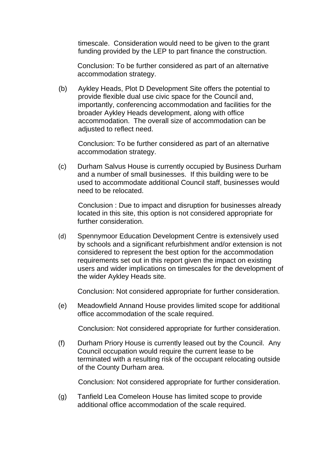timescale. Consideration would need to be given to the grant funding provided by the LEP to part finance the construction.

Conclusion: To be further considered as part of an alternative accommodation strategy.

(b) Aykley Heads, Plot D Development Site offers the potential to provide flexible dual use civic space for the Council and, importantly, conferencing accommodation and facilities for the broader Aykley Heads development, along with office accommodation. The overall size of accommodation can be adiusted to reflect need.

Conclusion: To be further considered as part of an alternative accommodation strategy.

(c) Durham Salvus House is currently occupied by Business Durham and a number of small businesses. If this building were to be used to accommodate additional Council staff, businesses would need to be relocated.

Conclusion : Due to impact and disruption for businesses already located in this site, this option is not considered appropriate for further consideration.

(d) Spennymoor Education Development Centre is extensively used by schools and a significant refurbishment and/or extension is not considered to represent the best option for the accommodation requirements set out in this report given the impact on existing users and wider implications on timescales for the development of the wider Aykley Heads site.

Conclusion: Not considered appropriate for further consideration.

(e) Meadowfield Annand House provides limited scope for additional office accommodation of the scale required.

Conclusion: Not considered appropriate for further consideration.

(f) Durham Priory House is currently leased out by the Council. Any Council occupation would require the current lease to be terminated with a resulting risk of the occupant relocating outside of the County Durham area.

Conclusion: Not considered appropriate for further consideration.

(g) Tanfield Lea Comeleon House has limited scope to provide additional office accommodation of the scale required.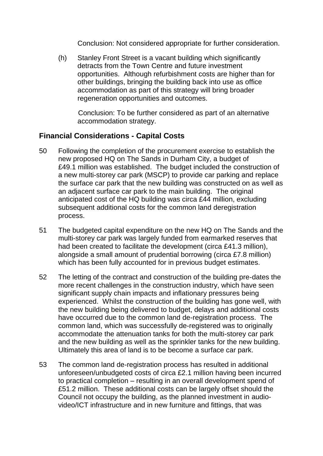Conclusion: Not considered appropriate for further consideration.

(h) Stanley Front Street is a vacant building which significantly detracts from the Town Centre and future investment opportunities. Although refurbishment costs are higher than for other buildings, bringing the building back into use as office accommodation as part of this strategy will bring broader regeneration opportunities and outcomes.

Conclusion: To be further considered as part of an alternative accommodation strategy.

# **Financial Considerations - Capital Costs**

- 50 Following the completion of the procurement exercise to establish the new proposed HQ on The Sands in Durham City, a budget of £49.1 million was established. The budget included the construction of a new multi-storey car park (MSCP) to provide car parking and replace the surface car park that the new building was constructed on as well as an adjacent surface car park to the main building. The original anticipated cost of the HQ building was circa £44 million, excluding subsequent additional costs for the common land deregistration process.
- 51 The budgeted capital expenditure on the new HQ on The Sands and the multi-storey car park was largely funded from earmarked reserves that had been created to facilitate the development (circa £41.3 million), alongside a small amount of prudential borrowing (circa £7.8 million) which has been fully accounted for in previous budget estimates.
- 52 The letting of the contract and construction of the building pre-dates the more recent challenges in the construction industry, which have seen significant supply chain impacts and inflationary pressures being experienced. Whilst the construction of the building has gone well, with the new building being delivered to budget, delays and additional costs have occurred due to the common land de-registration process. The common land, which was successfully de-registered was to originally accommodate the attenuation tanks for both the multi-storey car park and the new building as well as the sprinkler tanks for the new building. Ultimately this area of land is to be become a surface car park.
- 53 The common land de-registration process has resulted in additional unforeseen/unbudgeted costs of circa £2.1 million having been incurred to practical completion – resulting in an overall development spend of £51.2 million. These additional costs can be largely offset should the Council not occupy the building, as the planned investment in audiovideo/ICT infrastructure and in new furniture and fittings, that was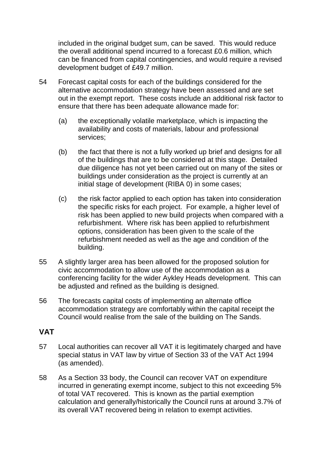included in the original budget sum, can be saved. This would reduce the overall additional spend incurred to a forecast £0.6 million, which can be financed from capital contingencies, and would require a revised development budget of £49.7 million.

- 54 Forecast capital costs for each of the buildings considered for the alternative accommodation strategy have been assessed and are set out in the exempt report. These costs include an additional risk factor to ensure that there has been adequate allowance made for:
	- (a) the exceptionally volatile marketplace, which is impacting the availability and costs of materials, labour and professional services;
	- (b) the fact that there is not a fully worked up brief and designs for all of the buildings that are to be considered at this stage. Detailed due diligence has not yet been carried out on many of the sites or buildings under consideration as the project is currently at an initial stage of development (RIBA 0) in some cases;
	- (c) the risk factor applied to each option has taken into consideration the specific risks for each project. For example, a higher level of risk has been applied to new build projects when compared with a refurbishment. Where risk has been applied to refurbishment options, consideration has been given to the scale of the refurbishment needed as well as the age and condition of the building.
- 55 A slightly larger area has been allowed for the proposed solution for civic accommodation to allow use of the accommodation as a conferencing facility for the wider Aykley Heads development. This can be adjusted and refined as the building is designed.
- 56 The forecasts capital costs of implementing an alternate office accommodation strategy are comfortably within the capital receipt the Council would realise from the sale of the building on The Sands.

# **VAT**

- 57 Local authorities can recover all VAT it is legitimately charged and have special status in VAT law by virtue of Section 33 of the VAT Act 1994 (as amended).
- 58 As a Section 33 body, the Council can recover VAT on expenditure incurred in generating exempt income, subject to this not exceeding 5% of total VAT recovered. This is known as the partial exemption calculation and generally/historically the Council runs at around 3.7% of its overall VAT recovered being in relation to exempt activities.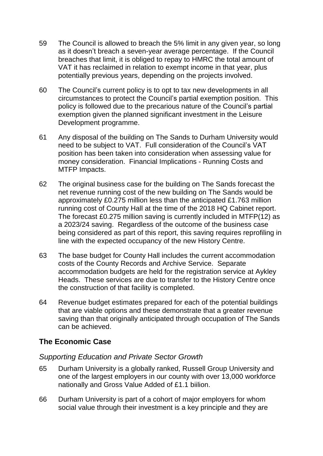- 59 The Council is allowed to breach the 5% limit in any given year, so long as it doesn't breach a seven-year average percentage. If the Council breaches that limit, it is obliged to repay to HMRC the total amount of VAT it has reclaimed in relation to exempt income in that year, plus potentially previous years, depending on the projects involved.
- 60 The Council's current policy is to opt to tax new developments in all circumstances to protect the Council's partial exemption position. This policy is followed due to the precarious nature of the Council's partial exemption given the planned significant investment in the Leisure Development programme.
- 61 Any disposal of the building on The Sands to Durham University would need to be subject to VAT. Full consideration of the Council's VAT position has been taken into consideration when assessing value for money consideration. Financial Implications - Running Costs and MTFP Impacts.
- 62 The original business case for the building on The Sands forecast the net revenue running cost of the new building on The Sands would be approximately £0.275 million less than the anticipated £1.763 million running cost of County Hall at the time of the 2018 HQ Cabinet report. The forecast £0.275 million saving is currently included in MTFP(12) as a 2023/24 saving. Regardless of the outcome of the business case being considered as part of this report, this saving requires reprofiling in line with the expected occupancy of the new History Centre.
- 63 The base budget for County Hall includes the current accommodation costs of the County Records and Archive Service. Separate accommodation budgets are held for the registration service at Aykley Heads. These services are due to transfer to the History Centre once the construction of that facility is completed.
- 64 Revenue budget estimates prepared for each of the potential buildings that are viable options and these demonstrate that a greater revenue saving than that originally anticipated through occupation of The Sands can be achieved.

# **The Economic Case**

# *Supporting Education and Private Sector Growth*

- 65 Durham University is a globally ranked, Russell Group University and one of the largest employers in our county with over 13,000 workforce nationally and Gross Value Added of £1.1 biilion.
- 66 Durham University is part of a cohort of major employers for whom social value through their investment is a key principle and they are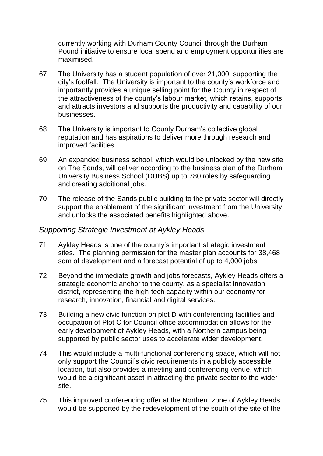currently working with Durham County Council through the Durham Pound initiative to ensure local spend and employment opportunities are maximised.

- 67 The University has a student population of over 21,000, supporting the city's footfall. The University is important to the county's workforce and importantly provides a unique selling point for the County in respect of the attractiveness of the county's labour market, which retains, supports and attracts investors and supports the productivity and capability of our businesses.
- 68 The University is important to County Durham's collective global reputation and has aspirations to deliver more through research and improved facilities.
- 69 An expanded business school, which would be unlocked by the new site on The Sands, will deliver according to the business plan of the Durham University Business School (DUBS) up to 780 roles by safeguarding and creating additional jobs.
- 70 The release of the Sands public building to the private sector will directly support the enablement of the significant investment from the University and unlocks the associated benefits highlighted above.

#### *Supporting Strategic Investment at Aykley Heads*

- 71 Aykley Heads is one of the county's important strategic investment sites. The planning permission for the master plan accounts for 38,468 sqm of development and a forecast potential of up to 4,000 jobs.
- 72 Beyond the immediate growth and jobs forecasts, Aykley Heads offers a strategic economic anchor to the county, as a specialist innovation district, representing the high-tech capacity within our economy for research, innovation, financial and digital services.
- 73 Building a new civic function on plot D with conferencing facilities and occupation of Plot C for Council office accommodation allows for the early development of Aykley Heads, with a Northern campus being supported by public sector uses to accelerate wider development.
- 74 This would include a multi-functional conferencing space, which will not only support the Council's civic requirements in a publicly accessible location, but also provides a meeting and conferencing venue, which would be a significant asset in attracting the private sector to the wider site.
- 75 This improved conferencing offer at the Northern zone of Aykley Heads would be supported by the redevelopment of the south of the site of the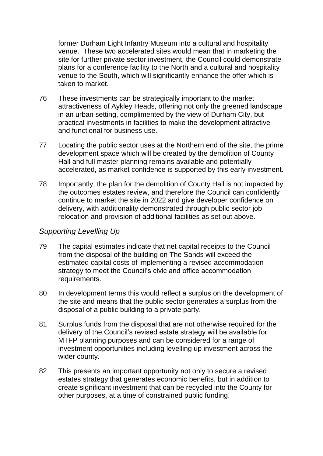former Durham Light Infantry Museum into a cultural and hospitality venue. These two accelerated sites would mean that in marketing the site for further private sector investment, the Council could demonstrate plans for a conference facility to the North and a cultural and hospitality venue to the South, which will significantly enhance the offer which is taken to market.

- 76 These investments can be strategically important to the market attractiveness of Aykley Heads, offering not only the greened landscape in an urban setting, complimented by the view of Durham City, but practical investments in facilities to make the development attractive and functional for business use.
- 77 Locating the public sector uses at the Northern end of the site, the prime development space which will be created by the demolition of County Hall and full master planning remains available and potentially accelerated, as market confidence is supported by this early investment.
- 78 Importantly, the plan for the demolition of County Hall is not impacted by the outcomes estates review, and therefore the Council can confidently continue to market the site in 2022 and give developer confidence on delivery, with additionality demonstrated through public sector job relocation and provision of additional facilities as set out above.

#### *Supporting Levelling Up*

- 79 The capital estimates indicate that net capital receipts to the Council from the disposal of the building on The Sands will exceed the estimated capital costs of implementing a revised accommodation strategy to meet the Council's civic and office accommodation requirements.
- 80 In development terms this would reflect a surplus on the development of the site and means that the public sector generates a surplus from the disposal of a public building to a private party.
- 81 Surplus funds from the disposal that are not otherwise required for the delivery of the Council's revised estate strategy will be available for MTFP planning purposes and can be considered for a range of investment opportunities including levelling up investment across the wider county.
- 82 This presents an important opportunity not only to secure a revised estates strategy that generates economic benefits, but in addition to create significant investment that can be recycled into the County for other purposes, at a time of constrained public funding.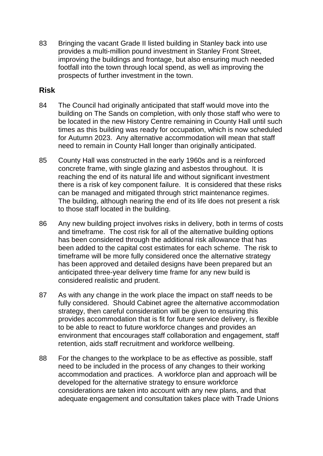83 Bringing the vacant Grade II listed building in Stanley back into use provides a multi-million pound investment in Stanley Front Street, improving the buildings and frontage, but also ensuring much needed footfall into the town through local spend, as well as improving the prospects of further investment in the town.

# **Risk**

- 84 The Council had originally anticipated that staff would move into the building on The Sands on completion, with only those staff who were to be located in the new History Centre remaining in County Hall until such times as this building was ready for occupation, which is now scheduled for Autumn 2023. Any alternative accommodation will mean that staff need to remain in County Hall longer than originally anticipated.
- 85 County Hall was constructed in the early 1960s and is a reinforced concrete frame, with single glazing and asbestos throughout. It is reaching the end of its natural life and without significant investment there is a risk of key component failure. It is considered that these risks can be managed and mitigated through strict maintenance regimes. The building, although nearing the end of its life does not present a risk to those staff located in the building.
- 86 Any new building project involves risks in delivery, both in terms of costs and timeframe. The cost risk for all of the alternative building options has been considered through the additional risk allowance that has been added to the capital cost estimates for each scheme. The risk to timeframe will be more fully considered once the alternative strategy has been approved and detailed designs have been prepared but an anticipated three-year delivery time frame for any new build is considered realistic and prudent.
- 87 As with any change in the work place the impact on staff needs to be fully considered. Should Cabinet agree the alternative accommodation strategy, then careful consideration will be given to ensuring this provides accommodation that is fit for future service delivery, is flexible to be able to react to future workforce changes and provides an environment that encourages staff collaboration and engagement, staff retention, aids staff recruitment and workforce wellbeing.
- 88 For the changes to the workplace to be as effective as possible, staff need to be included in the process of any changes to their working accommodation and practices. A workforce plan and approach will be developed for the alternative strategy to ensure workforce considerations are taken into account with any new plans, and that adequate engagement and consultation takes place with Trade Unions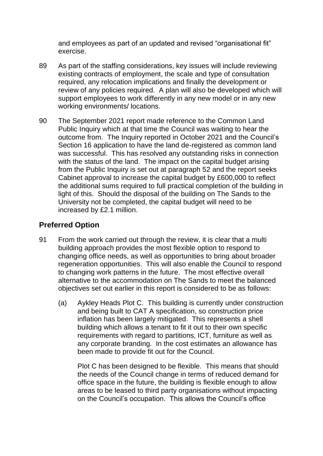and employees as part of an updated and revised "organisational fit" exercise.

- 89 As part of the staffing considerations, key issues will include reviewing existing contracts of employment, the scale and type of consultation required, any relocation implications and finally the development or review of any policies required. A plan will also be developed which will support employees to work differently in any new model or in any new working environments/ locations.
- 90 The September 2021 report made reference to the Common Land Public Inquiry which at that time the Council was waiting to hear the outcome from. The Inquiry reported in October 2021 and the Council's Section 16 application to have the land de-registered as common land was successful. This has resolved any outstanding risks in connection with the status of the land. The impact on the capital budget arising from the Public Inquiry is set out at paragraph 52 and the report seeks Cabinet approval to increase the capital budget by £600,000 to reflect the additional sums required to full practical completion of the building in light of this. Should the disposal of the building on The Sands to the University not be completed, the capital budget will need to be increased by £2.1 million.

# **Preferred Option**

- 91 From the work carried out through the review, it is clear that a multi building approach provides the most flexible option to respond to changing office needs, as well as opportunities to bring about broader regeneration opportunities. This will also enable the Council to respond to changing work patterns in the future. The most effective overall alternative to the accommodation on The Sands to meet the balanced objectives set out earlier in this report is considered to be as follows:
	- (a) Aykley Heads Plot C. This building is currently under construction and being built to CAT A specification, so construction price inflation has been largely mitigated. This represents a shell building which allows a tenant to fit it out to their own specific requirements with regard to partitions, ICT, furniture as well as any corporate branding. In the cost estimates an allowance has been made to provide fit out for the Council.

Plot C has been designed to be flexible. This means that should the needs of the Council change in terms of reduced demand for office space in the future, the building is flexible enough to allow areas to be leased to third party organisations without impacting on the Council's occupation. This allows the Council's office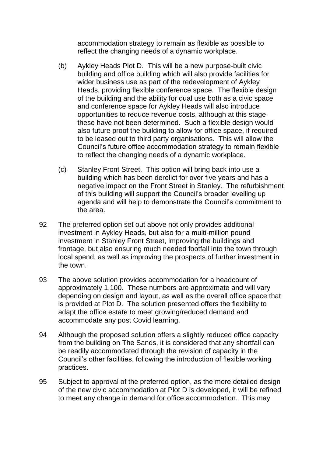accommodation strategy to remain as flexible as possible to reflect the changing needs of a dynamic workplace.

- (b) Aykley Heads Plot D. This will be a new purpose-built civic building and office building which will also provide facilities for wider business use as part of the redevelopment of Aykley Heads, providing flexible conference space. The flexible design of the building and the ability for dual use both as a civic space and conference space for Aykley Heads will also introduce opportunities to reduce revenue costs, although at this stage these have not been determined. Such a flexible design would also future proof the building to allow for office space, if required to be leased out to third party organisations. This will allow the Council's future office accommodation strategy to remain flexible to reflect the changing needs of a dynamic workplace.
- (c) Stanley Front Street. This option will bring back into use a building which has been derelict for over five years and has a negative impact on the Front Street in Stanley. The refurbishment of this building will support the Council's broader levelling up agenda and will help to demonstrate the Council's commitment to the area.
- 92 The preferred option set out above not only provides additional investment in Aykley Heads, but also for a multi-million pound investment in Stanley Front Street, improving the buildings and frontage, but also ensuring much needed footfall into the town through local spend, as well as improving the prospects of further investment in the town.
- 93 The above solution provides accommodation for a headcount of approximately 1,100. These numbers are approximate and will vary depending on design and layout, as well as the overall office space that is provided at Plot D. The solution presented offers the flexibility to adapt the office estate to meet growing/reduced demand and accommodate any post Covid learning.
- 94 Although the proposed solution offers a slightly reduced office capacity from the building on The Sands, it is considered that any shortfall can be readily accommodated through the revision of capacity in the Council's other facilities, following the introduction of flexible working practices.
- 95 Subject to approval of the preferred option, as the more detailed design of the new civic accommodation at Plot D is developed, it will be refined to meet any change in demand for office accommodation. This may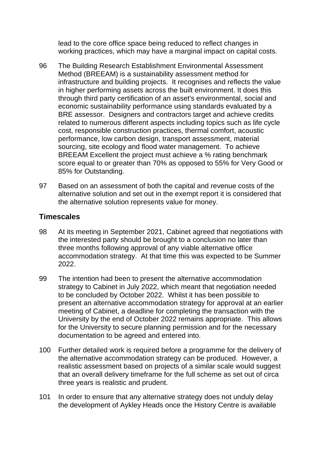lead to the core office space being reduced to reflect changes in working practices, which may have a marginal impact on capital costs.

- 96 The Building Research Establishment Environmental Assessment Method (BREEAM) is a sustainability assessment method for infrastructure and building projects. It recognises and reflects the value in higher performing assets across the built environment. It does this through third party certification of an asset's environmental, social and economic sustainability performance using standards evaluated by a BRE assessor. Designers and contractors target and achieve credits related to numerous different aspects including topics such as life cycle cost, responsible construction practices, thermal comfort, acoustic performance, low carbon design, transport assessment, material sourcing, site ecology and flood water management. To achieve BREEAM Excellent the project must achieve a % rating benchmark score equal to or greater than 70% as opposed to 55% for Very Good or 85% for Outstanding.
- 97 Based on an assessment of both the capital and revenue costs of the alternative solution and set out in the exempt report it is considered that the alternative solution represents value for money.

#### **Timescales**

- 98 At its meeting in September 2021, Cabinet agreed that negotiations with the interested party should be brought to a conclusion no later than three months following approval of any viable alternative office accommodation strategy. At that time this was expected to be Summer 2022.
- 99 The intention had been to present the alternative accommodation strategy to Cabinet in July 2022, which meant that negotiation needed to be concluded by October 2022. Whilst it has been possible to present an alternative accommodation strategy for approval at an earlier meeting of Cabinet, a deadline for completing the transaction with the University by the end of October 2022 remains appropriate. This allows for the University to secure planning permission and for the necessary documentation to be agreed and entered into.
- 100 Further detailed work is required before a programme for the delivery of the alternative accommodation strategy can be produced. However, a realistic assessment based on projects of a similar scale would suggest that an overall delivery timeframe for the full scheme as set out of circa three years is realistic and prudent.
- 101 In order to ensure that any alternative strategy does not unduly delay the development of Aykley Heads once the History Centre is available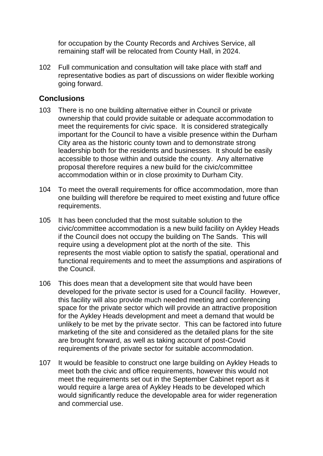for occupation by the County Records and Archives Service, all remaining staff will be relocated from County Hall, in 2024.

102 Full communication and consultation will take place with staff and representative bodies as part of discussions on wider flexible working going forward.

#### **Conclusions**

- 103 There is no one building alternative either in Council or private ownership that could provide suitable or adequate accommodation to meet the requirements for civic space. It is considered strategically important for the Council to have a visible presence within the Durham City area as the historic county town and to demonstrate strong leadership both for the residents and businesses. It should be easily accessible to those within and outside the county. Any alternative proposal therefore requires a new build for the civic/committee accommodation within or in close proximity to Durham City.
- 104 To meet the overall requirements for office accommodation, more than one building will therefore be required to meet existing and future office requirements.
- 105 It has been concluded that the most suitable solution to the civic/committee accommodation is a new build facility on Aykley Heads if the Council does not occupy the building on The Sands. This will require using a development plot at the north of the site. This represents the most viable option to satisfy the spatial, operational and functional requirements and to meet the assumptions and aspirations of the Council.
- 106 This does mean that a development site that would have been developed for the private sector is used for a Council facility. However, this facility will also provide much needed meeting and conferencing space for the private sector which will provide an attractive proposition for the Aykley Heads development and meet a demand that would be unlikely to be met by the private sector. This can be factored into future marketing of the site and considered as the detailed plans for the site are brought forward, as well as taking account of post-Covid requirements of the private sector for suitable accommodation.
- 107 It would be feasible to construct one large building on Aykley Heads to meet both the civic and office requirements, however this would not meet the requirements set out in the September Cabinet report as it would require a large area of Aykley Heads to be developed which would significantly reduce the developable area for wider regeneration and commercial use.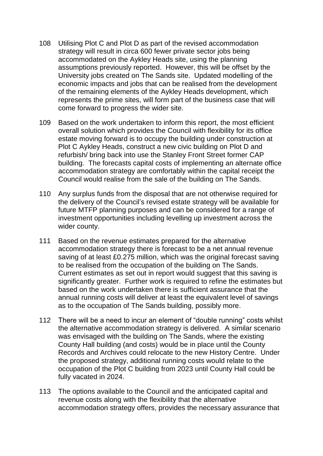- 108 Utilising Plot C and Plot D as part of the revised accommodation strategy will result in circa 600 fewer private sector jobs being accommodated on the Aykley Heads site, using the planning assumptions previously reported. However, this will be offset by the University jobs created on The Sands site. Updated modelling of the economic impacts and jobs that can be realised from the development of the remaining elements of the Aykley Heads development, which represents the prime sites, will form part of the business case that will come forward to progress the wider site.
- 109 Based on the work undertaken to inform this report, the most efficient overall solution which provides the Council with flexibility for its office estate moving forward is to occupy the building under construction at Plot C Aykley Heads, construct a new civic building on Plot D and refurbish/ bring back into use the Stanley Front Street former CAP building. The forecasts capital costs of implementing an alternate office accommodation strategy are comfortably within the capital receipt the Council would realise from the sale of the building on The Sands.
- 110 Any surplus funds from the disposal that are not otherwise required for the delivery of the Council's revised estate strategy will be available for future MTFP planning purposes and can be considered for a range of investment opportunities including levelling up investment across the wider county.
- 111 Based on the revenue estimates prepared for the alternative accommodation strategy there is forecast to be a net annual revenue saving of at least £0.275 million, which was the original forecast saving to be realised from the occupation of the building on The Sands. Current estimates as set out in report would suggest that this saving is significantly greater. Further work is required to refine the estimates but based on the work undertaken there is sufficient assurance that the annual running costs will deliver at least the equivalent level of savings as to the occupation of The Sands building, possibly more.
- 112 There will be a need to incur an element of "double running" costs whilst the alternative accommodation strategy is delivered. A similar scenario was envisaged with the building on The Sands, where the existing County Hall building (and costs) would be in place until the County Records and Archives could relocate to the new History Centre. Under the proposed strategy, additional running costs would relate to the occupation of the Plot C building from 2023 until County Hall could be fully vacated in 2024.
- 113 The options available to the Council and the anticipated capital and revenue costs along with the flexibility that the alternative accommodation strategy offers, provides the necessary assurance that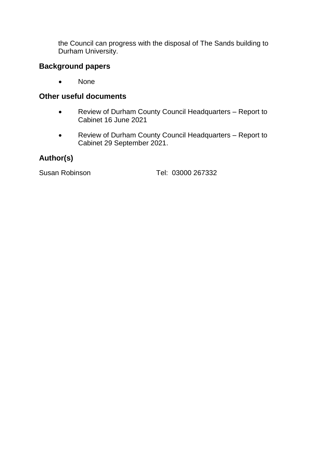the Council can progress with the disposal of The Sands building to Durham University.

# **Background papers**

• None

# **Other useful documents**

- Review of Durham County Council Headquarters Report to Cabinet 16 June 2021
- Review of Durham County Council Headquarters Report to Cabinet 29 September 2021.

# **Author(s)**

Susan Robinson Tel: 03000 267332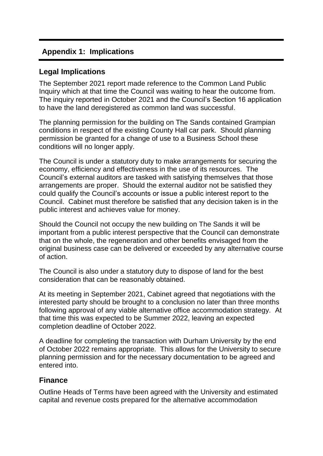# **Appendix 1: Implications**

### **Legal Implications**

The September 2021 report made reference to the Common Land Public Inquiry which at that time the Council was waiting to hear the outcome from. The inquiry reported in October 2021 and the Council's Section 16 application to have the land deregistered as common land was successful.

The planning permission for the building on The Sands contained Grampian conditions in respect of the existing County Hall car park. Should planning permission be granted for a change of use to a Business School these conditions will no longer apply.

The Council is under a statutory duty to make arrangements for securing the economy, efficiency and effectiveness in the use of its resources. The Council's external auditors are tasked with satisfying themselves that those arrangements are proper. Should the external auditor not be satisfied they could qualify the Council's accounts or issue a public interest report to the Council. Cabinet must therefore be satisfied that any decision taken is in the public interest and achieves value for money.

Should the Council not occupy the new building on The Sands it will be important from a public interest perspective that the Council can demonstrate that on the whole, the regeneration and other benefits envisaged from the original business case can be delivered or exceeded by any alternative course of action.

The Council is also under a statutory duty to dispose of land for the best consideration that can be reasonably obtained.

At its meeting in September 2021, Cabinet agreed that negotiations with the interested party should be brought to a conclusion no later than three months following approval of any viable alternative office accommodation strategy. At that time this was expected to be Summer 2022, leaving an expected completion deadline of October 2022.

A deadline for completing the transaction with Durham University by the end of October 2022 remains appropriate. This allows for the University to secure planning permission and for the necessary documentation to be agreed and entered into.

#### **Finance**

Outline Heads of Terms have been agreed with the University and estimated capital and revenue costs prepared for the alternative accommodation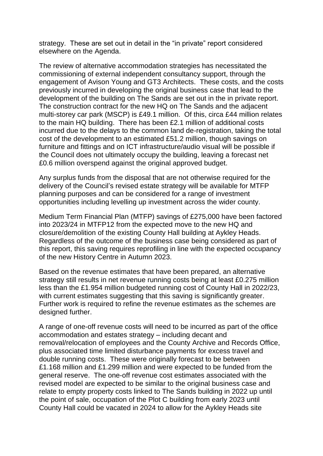strategy. These are set out in detail in the "in private" report considered elsewhere on the Agenda.

The review of alternative accommodation strategies has necessitated the commissioning of external independent consultancy support, through the engagement of Avison Young and GT3 Architects. These costs, and the costs previously incurred in developing the original business case that lead to the development of the building on The Sands are set out in the in private report. The construction contract for the new HQ on The Sands and the adjacent multi-storey car park (MSCP) is £49.1 million. Of this, circa £44 million relates to the main HQ building. There has been £2.1 million of additional costs incurred due to the delays to the common land de-registration, taking the total cost of the development to an estimated £51.2 million, though savings on furniture and fittings and on ICT infrastructure/audio visual will be possible if the Council does not ultimately occupy the building, leaving a forecast net £0.6 million overspend against the original approved budget.

Any surplus funds from the disposal that are not otherwise required for the delivery of the Council's revised estate strategy will be available for MTFP planning purposes and can be considered for a range of investment opportunities including levelling up investment across the wider county.

Medium Term Financial Plan (MTFP) savings of £275,000 have been factored into 2023/24 in MTFP12 from the expected move to the new HQ and closure/demolition of the existing County Hall building at Aykley Heads. Regardless of the outcome of the business case being considered as part of this report, this saving requires reprofiling in line with the expected occupancy of the new History Centre in Autumn 2023.

Based on the revenue estimates that have been prepared, an alternative strategy still results in net revenue running costs being at least £0.275 million less than the £1.954 million budgeted running cost of County Hall in 2022/23, with current estimates suggesting that this saving is significantly greater. Further work is required to refine the revenue estimates as the schemes are designed further.

A range of one-off revenue costs will need to be incurred as part of the office accommodation and estates strategy – including decant and removal/relocation of employees and the County Archive and Records Office, plus associated time limited disturbance payments for excess travel and double running costs. These were originally forecast to be between £1.168 million and £1.299 million and were expected to be funded from the general reserve. The one-off revenue cost estimates associated with the revised model are expected to be similar to the original business case and relate to empty property costs linked to The Sands building in 2022 up until the point of sale, occupation of the Plot C building from early 2023 until County Hall could be vacated in 2024 to allow for the Aykley Heads site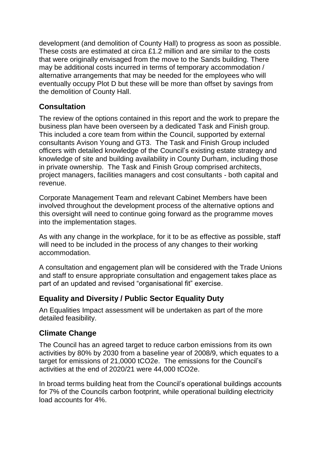development (and demolition of County Hall) to progress as soon as possible. These costs are estimated at circa £1.2 million and are similar to the costs that were originally envisaged from the move to the Sands building. There may be additional costs incurred in terms of temporary accommodation / alternative arrangements that may be needed for the employees who will eventually occupy Plot D but these will be more than offset by savings from the demolition of County Hall.

# **Consultation**

The review of the options contained in this report and the work to prepare the business plan have been overseen by a dedicated Task and Finish group. This included a core team from within the Council, supported by external consultants Avison Young and GT3. The Task and Finish Group included officers with detailed knowledge of the Council's existing estate strategy and knowledge of site and building availability in County Durham, including those in private ownership. The Task and Finish Group comprised architects, project managers, facilities managers and cost consultants - both capital and revenue.

Corporate Management Team and relevant Cabinet Members have been involved throughout the development process of the alternative options and this oversight will need to continue going forward as the programme moves into the implementation stages.

As with any change in the workplace, for it to be as effective as possible, staff will need to be included in the process of any changes to their working accommodation.

A consultation and engagement plan will be considered with the Trade Unions and staff to ensure appropriate consultation and engagement takes place as part of an updated and revised "organisational fit" exercise.

# **Equality and Diversity / Public Sector Equality Duty**

An Equalities Impact assessment will be undertaken as part of the more detailed feasibility.

# **Climate Change**

The Council has an agreed target to reduce carbon emissions from its own activities by 80% by 2030 from a baseline year of 2008/9, which equates to a target for emissions of 21,0000 tCO2e. The emissions for the Council's activities at the end of 2020/21 were 44,000 tCO2e.

In broad terms building heat from the Council's operational buildings accounts for 7% of the Councils carbon footprint, while operational building electricity load accounts for 4%.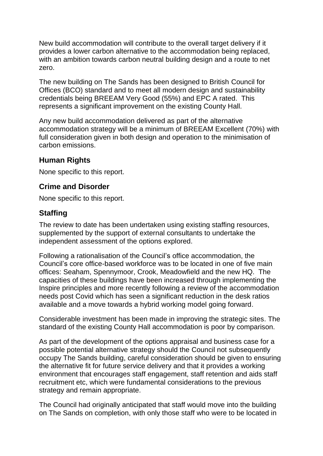New build accommodation will contribute to the overall target delivery if it provides a lower carbon alternative to the accommodation being replaced, with an ambition towards carbon neutral building design and a route to net zero.

The new building on The Sands has been designed to British Council for Offices (BCO) standard and to meet all modern design and sustainability credentials being BREEAM Very Good (55%) and EPC A rated. This represents a significant improvement on the existing County Hall.

Any new build accommodation delivered as part of the alternative accommodation strategy will be a minimum of BREEAM Excellent (70%) with full consideration given in both design and operation to the minimisation of carbon emissions.

# **Human Rights**

None specific to this report.

# **Crime and Disorder**

None specific to this report.

# **Staffing**

The review to date has been undertaken using existing staffing resources, supplemented by the support of external consultants to undertake the independent assessment of the options explored.

Following a rationalisation of the Council's office accommodation, the Council's core office-based workforce was to be located in one of five main offices: Seaham, Spennymoor, Crook, Meadowfield and the new HQ. The capacities of these buildings have been increased through implementing the Inspire principles and more recently following a review of the accommodation needs post Covid which has seen a significant reduction in the desk ratios available and a move towards a hybrid working model going forward.

Considerable investment has been made in improving the strategic sites. The standard of the existing County Hall accommodation is poor by comparison.

As part of the development of the options appraisal and business case for a possible potential alternative strategy should the Council not subsequently occupy The Sands building, careful consideration should be given to ensuring the alternative fit for future service delivery and that it provides a working environment that encourages staff engagement, staff retention and aids staff recruitment etc, which were fundamental considerations to the previous strategy and remain appropriate.

The Council had originally anticipated that staff would move into the building on The Sands on completion, with only those staff who were to be located in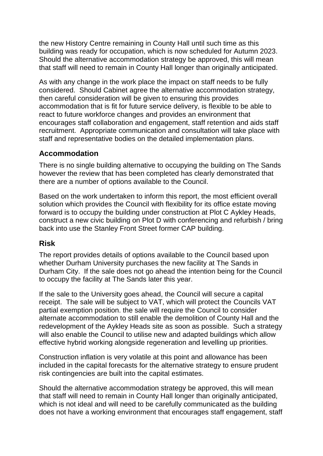the new History Centre remaining in County Hall until such time as this building was ready for occupation, which is now scheduled for Autumn 2023. Should the alternative accommodation strategy be approved, this will mean that staff will need to remain in County Hall longer than originally anticipated.

As with any change in the work place the impact on staff needs to be fully considered. Should Cabinet agree the alternative accommodation strategy, then careful consideration will be given to ensuring this provides accommodation that is fit for future service delivery, is flexible to be able to react to future workforce changes and provides an environment that encourages staff collaboration and engagement, staff retention and aids staff recruitment. Appropriate communication and consultation will take place with staff and representative bodies on the detailed implementation plans.

# **Accommodation**

There is no single building alternative to occupying the building on The Sands however the review that has been completed has clearly demonstrated that there are a number of options available to the Council.

Based on the work undertaken to inform this report, the most efficient overall solution which provides the Council with flexibility for its office estate moving forward is to occupy the building under construction at Plot C Aykley Heads, construct a new civic building on Plot D with conferencing and refurbish / bring back into use the Stanley Front Street former CAP building.

# **Risk**

The report provides details of options available to the Council based upon whether Durham University purchases the new facility at The Sands in Durham City. If the sale does not go ahead the intention being for the Council to occupy the facility at The Sands later this year.

If the sale to the University goes ahead, the Council will secure a capital receipt. The sale will be subject to VAT, which will protect the Councils VAT partial exemption position. the sale will require the Council to consider alternate accommodation to still enable the demolition of County Hall and the redevelopment of the Aykley Heads site as soon as possible. Such a strategy will also enable the Council to utilise new and adapted buildings which allow effective hybrid working alongside regeneration and levelling up priorities.

Construction inflation is very volatile at this point and allowance has been included in the capital forecasts for the alternative strategy to ensure prudent risk contingencies are built into the capital estimates.

Should the alternative accommodation strategy be approved, this will mean that staff will need to remain in County Hall longer than originally anticipated, which is not ideal and will need to be carefully communicated as the building does not have a working environment that encourages staff engagement, staff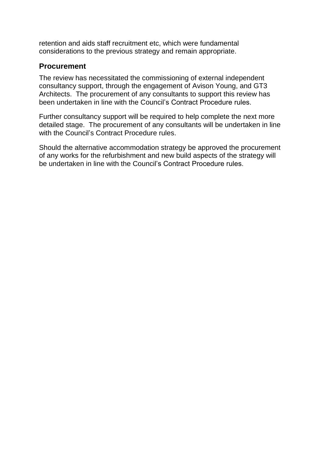retention and aids staff recruitment etc, which were fundamental considerations to the previous strategy and remain appropriate.

# **Procurement**

The review has necessitated the commissioning of external independent consultancy support, through the engagement of Avison Young, and GT3 Architects. The procurement of any consultants to support this review has been undertaken in line with the Council's Contract Procedure rules.

Further consultancy support will be required to help complete the next more detailed stage. The procurement of any consultants will be undertaken in line with the Council's Contract Procedure rules.

Should the alternative accommodation strategy be approved the procurement of any works for the refurbishment and new build aspects of the strategy will be undertaken in line with the Council's Contract Procedure rules.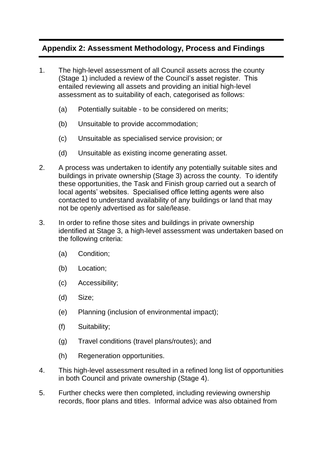# **Appendix 2: Assessment Methodology, Process and Findings**

- 1. The high-level assessment of all Council assets across the county (Stage 1) included a review of the Council's asset register. This entailed reviewing all assets and providing an initial high-level assessment as to suitability of each, categorised as follows:
	- (a) Potentially suitable to be considered on merits;
	- (b) Unsuitable to provide accommodation;
	- (c) Unsuitable as specialised service provision; or
	- (d) Unsuitable as existing income generating asset.
- 2. A process was undertaken to identify any potentially suitable sites and buildings in private ownership (Stage 3) across the county. To identify these opportunities, the Task and Finish group carried out a search of local agents' websites. Specialised office letting agents were also contacted to understand availability of any buildings or land that may not be openly advertised as for sale/lease.
- 3. In order to refine those sites and buildings in private ownership identified at Stage 3, a high-level assessment was undertaken based on the following criteria:
	- (a) Condition;
	- (b) Location;
	- (c) Accessibility;
	- (d) Size;
	- (e) Planning (inclusion of environmental impact);
	- (f) Suitability;
	- (g) Travel conditions (travel plans/routes); and
	- (h) Regeneration opportunities.
- 4. This high-level assessment resulted in a refined long list of opportunities in both Council and private ownership (Stage 4).
- 5. Further checks were then completed, including reviewing ownership records, floor plans and titles. Informal advice was also obtained from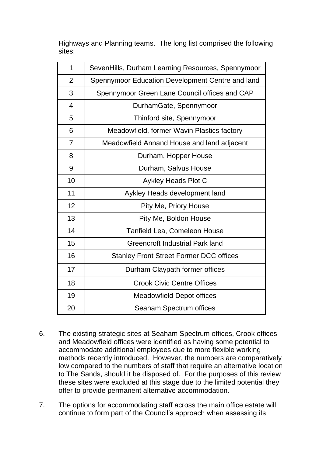Highways and Planning teams. The long list comprised the following sites:

| 1              | SevenHills, Durham Learning Resources, Spennymoor |  |
|----------------|---------------------------------------------------|--|
| $\overline{2}$ | Spennymoor Education Development Centre and land  |  |
| 3              | Spennymoor Green Lane Council offices and CAP     |  |
| $\overline{4}$ | DurhamGate, Spennymoor                            |  |
| 5              | Thinford site, Spennymoor                         |  |
| 6              | Meadowfield, former Wavin Plastics factory        |  |
| $\overline{7}$ | Meadowfield Annand House and land adjacent        |  |
| 8              | Durham, Hopper House                              |  |
| 9              | Durham, Salvus House                              |  |
| 10             | Aykley Heads Plot C                               |  |
| 11             | Aykley Heads development land                     |  |
| 12             | Pity Me, Priory House                             |  |
| 13             | Pity Me, Boldon House                             |  |
| 14             | <b>Tanfield Lea, Comeleon House</b>               |  |
| 15             | <b>Greencroft Industrial Park land</b>            |  |
| 16             | <b>Stanley Front Street Former DCC offices</b>    |  |
| 17             | Durham Claypath former offices                    |  |
| 18             | <b>Crook Civic Centre Offices</b>                 |  |
| 19             | <b>Meadowfield Depot offices</b>                  |  |
| 20             | Seaham Spectrum offices                           |  |

- 6. The existing strategic sites at Seaham Spectrum offices, Crook offices and Meadowfield offices were identified as having some potential to accommodate additional employees due to more flexible working methods recently introduced. However, the numbers are comparatively low compared to the numbers of staff that require an alternative location to The Sands, should it be disposed of. For the purposes of this review these sites were excluded at this stage due to the limited potential they offer to provide permanent alternative accommodation.
- 7. The options for accommodating staff across the main office estate will continue to form part of the Council's approach when assessing its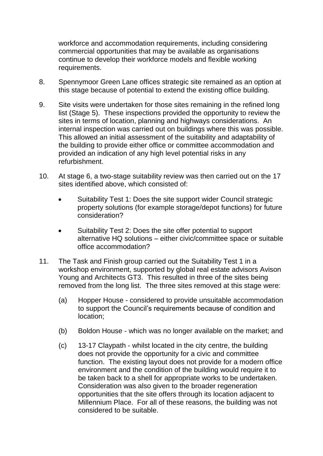workforce and accommodation requirements, including considering commercial opportunities that may be available as organisations continue to develop their workforce models and flexible working requirements.

- 8. Spennymoor Green Lane offices strategic site remained as an option at this stage because of potential to extend the existing office building.
- 9. Site visits were undertaken for those sites remaining in the refined long list (Stage 5). These inspections provided the opportunity to review the sites in terms of location, planning and highways considerations. An internal inspection was carried out on buildings where this was possible. This allowed an initial assessment of the suitability and adaptability of the building to provide either office or committee accommodation and provided an indication of any high level potential risks in any refurbishment.
- 10. At stage 6, a two-stage suitability review was then carried out on the 17 sites identified above, which consisted of:
	- Suitability Test 1: Does the site support wider Council strategic property solutions (for example storage/depot functions) for future consideration?
	- Suitability Test 2: Does the site offer potential to support alternative HQ solutions – either civic/committee space or suitable office accommodation?
- 11. The Task and Finish group carried out the Suitability Test 1 in a workshop environment, supported by global real estate advisors Avison Young and Architects GT3. This resulted in three of the sites being removed from the long list. The three sites removed at this stage were:
	- (a) Hopper House considered to provide unsuitable accommodation to support the Council's requirements because of condition and location;
	- (b) Boldon House which was no longer available on the market; and
	- (c) 13-17 Claypath whilst located in the city centre, the building does not provide the opportunity for a civic and committee function. The existing layout does not provide for a modern office environment and the condition of the building would require it to be taken back to a shell for appropriate works to be undertaken. Consideration was also given to the broader regeneration opportunities that the site offers through its location adjacent to Millennium Place. For all of these reasons, the building was not considered to be suitable.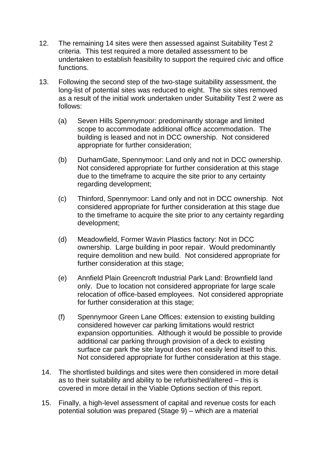- 12. The remaining 14 sites were then assessed against Suitability Test 2 criteria. This test required a more detailed assessment to be undertaken to establish feasibility to support the required civic and office functions.
- 13. Following the second step of the two-stage suitability assessment, the long-list of potential sites was reduced to eight. The six sites removed as a result of the initial work undertaken under Suitability Test 2 were as follows:
	- (a) Seven Hills Spennymoor: predominantly storage and limited scope to accommodate additional office accommodation. The building is leased and not in DCC ownership. Not considered appropriate for further consideration;
	- (b) DurhamGate, Spennymoor: Land only and not in DCC ownership. Not considered appropriate for further consideration at this stage due to the timeframe to acquire the site prior to any certainty regarding development;
	- (c) Thinford, Spennymoor: Land only and not in DCC ownership. Not considered appropriate for further consideration at this stage due to the timeframe to acquire the site prior to any certainty regarding development;
	- (d) Meadowfield, Former Wavin Plastics factory: Not in DCC ownership. Large building in poor repair. Would predominantly require demolition and new build. Not considered appropriate for further consideration at this stage;
	- (e) Annfield Plain Greencroft Industrial Park Land: Brownfield land only. Due to location not considered appropriate for large scale relocation of office-based employees. Not considered appropriate for further consideration at this stage;
	- (f) Spennymoor Green Lane Offices: extension to existing building considered however car parking limitations would restrict expansion opportunities. Although it would be possible to provide additional car parking through provision of a deck to existing surface car park the site layout does not easily lend itself to this. Not considered appropriate for further consideration at this stage.
- 14. The shortlisted buildings and sites were then considered in more detail as to their suitability and ability to be refurbished/altered – this is covered in more detail in the Viable Options section of this report.
- 15. Finally, a high-level assessment of capital and revenue costs for each potential solution was prepared (Stage 9) – which are a material